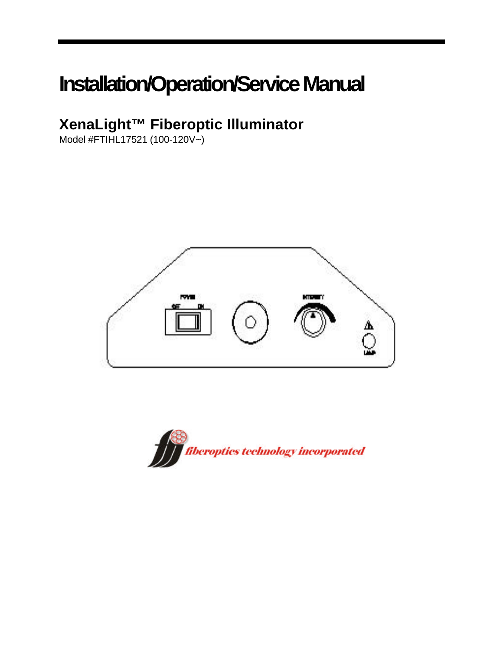# **Installation/Operation/Service Manual**

### **XenaLight™ Fiberoptic Illuminator**

Model #FTIHL17521 (100-120V~)



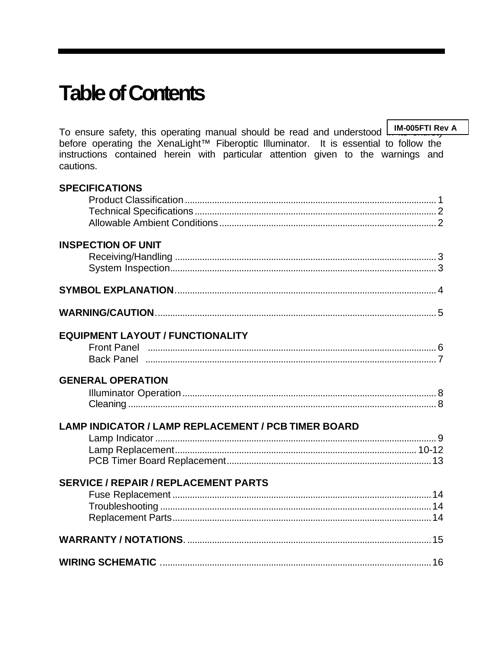## **Table of Contents**

To ensure safety, this operating manual should be read and understood **IM-005FTI Rev A** before operating the XenaLight™ Fiberoptic Illuminator. It is essential to follow the instructions contained herein with particular attention given to the warnings and cautions.

| <b>SPECIFICATIONS</b>                               |  |
|-----------------------------------------------------|--|
|                                                     |  |
|                                                     |  |
|                                                     |  |
| <b>INSPECTION OF UNIT</b>                           |  |
|                                                     |  |
|                                                     |  |
|                                                     |  |
|                                                     |  |
| <b>EQUIPMENT LAYOUT / FUNCTIONALITY</b>             |  |
|                                                     |  |
|                                                     |  |
| <b>GENERAL OPERATION</b>                            |  |
|                                                     |  |
|                                                     |  |
| LAMP INDICATOR / LAMP REPLACEMENT / PCB TIMER BOARD |  |
|                                                     |  |
|                                                     |  |
|                                                     |  |
| <b>SERVICE / REPAIR / REPLACEMENT PARTS</b>         |  |
|                                                     |  |
|                                                     |  |
|                                                     |  |
|                                                     |  |
|                                                     |  |
|                                                     |  |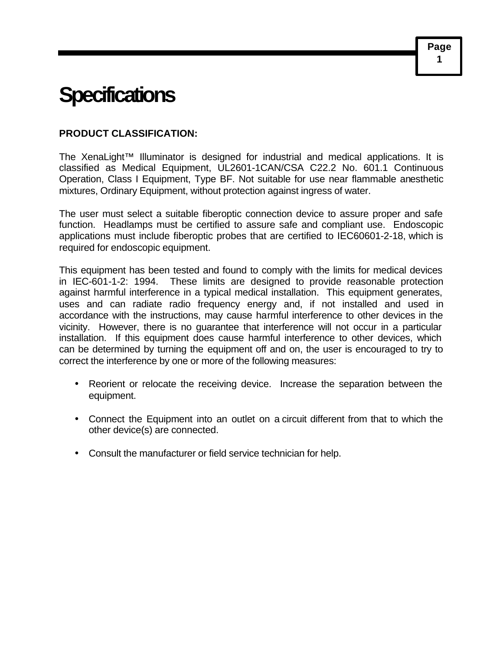### **Specifications**

#### **PRODUCT CLASSIFICATION:**

The XenaLight™ Illuminator is designed for industrial and medical applications. It is classified as Medical Equipment, UL2601-1CAN/CSA C22.2 No. 601.1 Continuous Operation, Class I Equipment, Type BF. Not suitable for use near flammable anesthetic mixtures, Ordinary Equipment, without protection against ingress of water.

The user must select a suitable fiberoptic connection device to assure proper and safe function. Headlamps must be certified to assure safe and compliant use. Endoscopic applications must include fiberoptic probes that are certified to IEC60601-2-18, which is required for endoscopic equipment.

This equipment has been tested and found to comply with the limits for medical devices in IEC-601-1-2: 1994. These limits are designed to provide reasonable protection against harmful interference in a typical medical installation. This equipment generates, uses and can radiate radio frequency energy and, if not installed and used in accordance with the instructions, may cause harmful interference to other devices in the vicinity. However, there is no guarantee that interference will not occur in a particular installation. If this equipment does cause harmful interference to other devices, which can be determined by turning the equipment off and on, the user is encouraged to try to correct the interference by one or more of the following measures:

- Reorient or relocate the receiving device. Increase the separation between the equipment.
- Connect the Equipment into an outlet on a circuit different from that to which the other device(s) are connected.
- Consult the manufacturer or field service technician for help.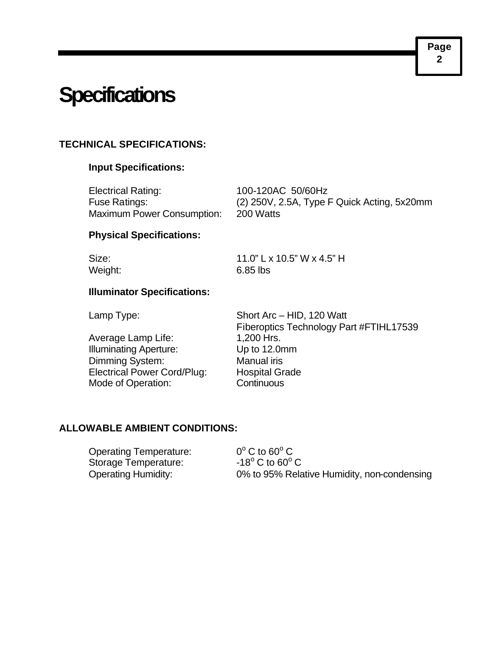### **Specifications**

#### **TECHNICAL SPECIFICATIONS:**

#### **Input Specifications:**

| Electrical Rating:                | 100-120AC 50/60Hz                             |
|-----------------------------------|-----------------------------------------------|
| Fuse Ratings:                     | $(2)$ 250V, 2.5A, Type F Quick Acting, 5x20mm |
| <b>Maximum Power Consumption:</b> | 200 Watts                                     |

#### **Physical Specifications:**

Size: 11.0" L x 10.5" W x 4.5" H Weight: 6.85 lbs

#### **Illuminator Specifications:**

Average Lamp Life: 1,200 Hrs. Illuminating Aperture: Up to 12.0mm Dimming System: Manual iris Electrical Power Cord/Plug: Hospital Grade Mode of Operation: Continuous

Lamp Type: Short Arc – HID, 120 Watt Fiberoptics Technology Part #FTIHL17539

#### **ALLOWABLE AMBIENT CONDITIONS:**

Operating Temperature: Storage Temperature:

 $^{\circ}$  C to 60 $^{\circ}$  C C to  $60^{\circ}$  C Operating Humidity: 0% to 95% Relative Humidity, non-condensing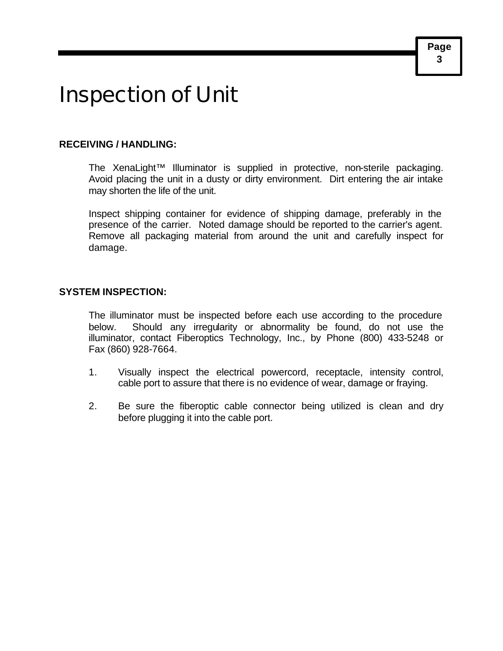## Inspection of Unit

#### **RECEIVING / HANDLING:**

The XenaLight™ Illuminator is supplied in protective, non-sterile packaging. Avoid placing the unit in a dusty or dirty environment. Dirt entering the air intake may shorten the life of the unit.

Inspect shipping container for evidence of shipping damage, preferably in the presence of the carrier. Noted damage should be reported to the carrier's agent. Remove all packaging material from around the unit and carefully inspect for damage.

#### **SYSTEM INSPECTION:**

The illuminator must be inspected before each use according to the procedure below. Should any irregularity or abnormality be found, do not use the illuminator, contact Fiberoptics Technology, Inc., by Phone (800) 433-5248 or Fax (860) 928-7664.

- 1. Visually inspect the electrical powercord, receptacle, intensity control, cable port to assure that there is no evidence of wear, damage or fraying.
- 2. Be sure the fiberoptic cable connector being utilized is clean and dry before plugging it into the cable port.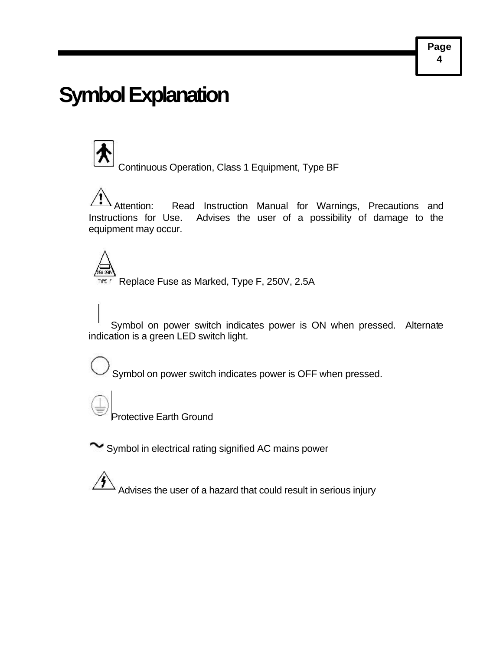### **Symbol Explanation**

Continuous Operation, Class 1 Equipment, Type BF

Attention: Read Instruction Manual for Warnings, Precautions and Instructions for Use. Advises the user of a possibility of damage to the equipment may occur.

TITE F Replace Fuse as Marked, Type F, 250V, 2.5A

Symbol on power switch indicates power is ON when pressed. Alternate indication is a green LED switch light.

Symbol on power switch indicates power is OFF when pressed.

Protective Earth Ground

Symbol in electrical rating signified AC mains power

Advises the user of a hazard that could result in serious injury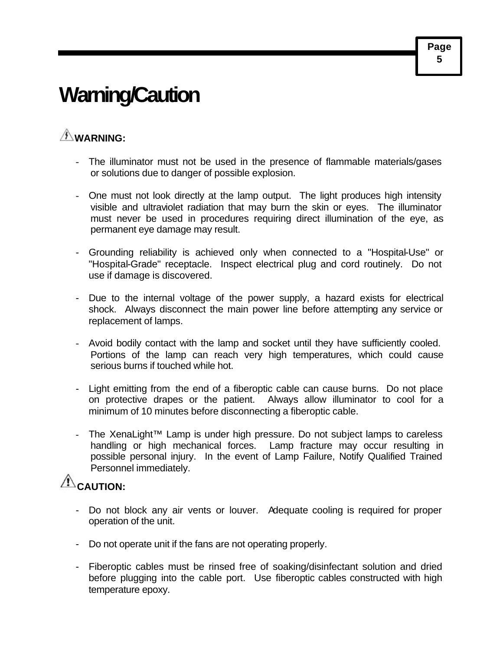# **Warning/Caution**

### **WARNING:**

- The illuminator must not be used in the presence of flammable materials/gases or solutions due to danger of possible explosion.
- One must not look directly at the lamp output. The light produces high intensity visible and ultraviolet radiation that may burn the skin or eyes. The illuminator must never be used in procedures requiring direct illumination of the eye, as permanent eye damage may result.
- Grounding reliability is achieved only when connected to a "Hospital-Use" or "Hospital-Grade" receptacle. Inspect electrical plug and cord routinely. Do not use if damage is discovered.
- Due to the internal voltage of the power supply, a hazard exists for electrical shock. Always disconnect the main power line before attempting any service or replacement of lamps.
- Avoid bodily contact with the lamp and socket until they have sufficiently cooled. Portions of the lamp can reach very high temperatures, which could cause serious burns if touched while hot.
- Light emitting from the end of a fiberoptic cable can cause burns. Do not place on protective drapes or the patient. Always allow illuminator to cool for a minimum of 10 minutes before disconnecting a fiberoptic cable.
- The XenaLight™ Lamp is under high pressure. Do not subject lamps to careless handling or high mechanical forces. Lamp fracture may occur resulting in possible personal injury. In the event of Lamp Failure, Notify Qualified Trained Personnel immediately.

### $\hat{\mathbb{A}}$ CAUTION:

- Do not block any air vents or louver. Adequate cooling is required for proper operation of the unit.
- Do not operate unit if the fans are not operating properly.
- Fiberoptic cables must be rinsed free of soaking/disinfectant solution and dried before plugging into the cable port. Use fiberoptic cables constructed with high temperature epoxy.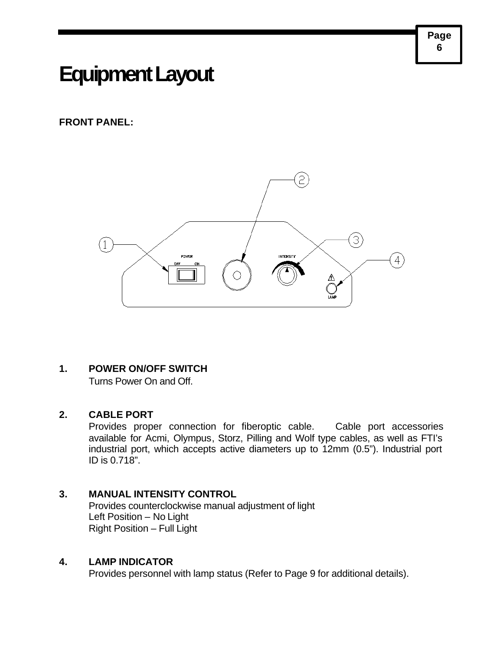### **Equipment Layout**

#### **FRONT PANEL:**



#### **1. POWER ON/OFF SWITCH**

Turns Power On and Off.

#### **2. CABLE PORT**

Provides proper connection for fiberoptic cable. Cable port accessories available for Acmi, Olympus, Storz, Pilling and Wolf type cables, as well as FTI's industrial port, which accepts active diameters up to 12mm (0.5"). Industrial port ID is 0.718".

#### **3. MANUAL INTENSITY CONTROL**

Provides counterclockwise manual adjustment of light Left Position – No Light Right Position – Full Light

#### **4. LAMP INDICATOR**

Provides personnel with lamp status (Refer to Page 9 for additional details).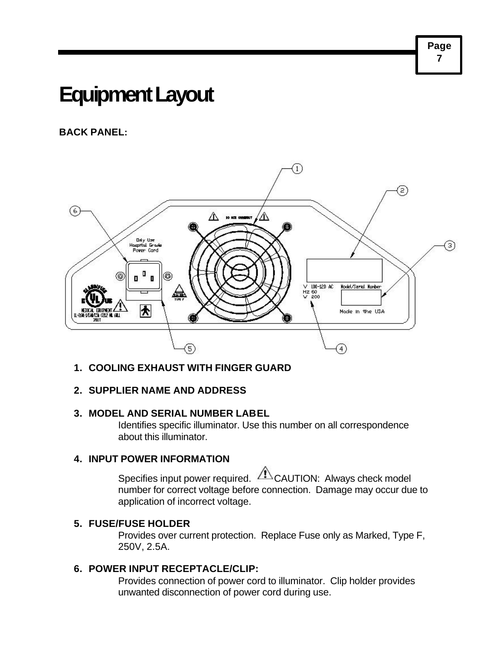### **Equipment Layout**

#### **BACK PANEL:**



#### **1. COOLING EXHAUST WITH FINGER GUARD**

#### **2. SUPPLIER NAME AND ADDRESS**

#### **3. MODEL AND SERIAL NUMBER LABEL**

Identifies specific illuminator. Use this number on all correspondence about this illuminator.

#### **4. INPUT POWER INFORMATION**

Specifies input power required. **ZAUTION:** Always check model number for correct voltage before connection. Damage may occur due to application of incorrect voltage.

#### **5. FUSE/FUSE HOLDER**

Provides over current protection. Replace Fuse only as Marked, Type F, 250V, 2.5A.

#### **6. POWER INPUT RECEPTACLE/CLIP:**

Provides connection of power cord to illuminator. Clip holder provides unwanted disconnection of power cord during use.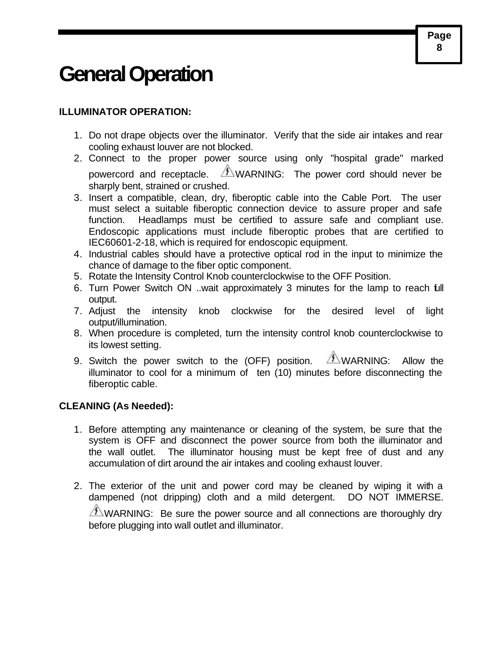### **General Operation**

#### **ILLUMINATOR OPERATION:**

- 1. Do not drape objects over the illuminator. Verify that the side air intakes and rear cooling exhaust louver are not blocked.
- 2. Connect to the proper power source using only "hospital grade" marked powercord and receptacle.  $\sqrt{f}$  WARNING: The power cord should never be sharply bent, strained or crushed.
- 3. Insert a compatible, clean, dry, fiberoptic cable into the Cable Port. The user must select a suitable fiberoptic connection device to assure proper and safe function. Headlamps must be certified to assure safe and compliant use. Endoscopic applications must include fiberoptic probes that are certified to IEC60601-2-18, which is required for endoscopic equipment.
- 4. Industrial cables should have a protective optical rod in the input to minimize the chance of damage to the fiber optic component.
- 5. Rotate the Intensity Control Knob counterclockwise to the OFF Position.
- 6. Turn Power Switch ON ..wait approximately 3 minutes for the lamp to reach full output.
- 7. Adjust the intensity knob clockwise for the desired level of light output/illumination.
- 8. When procedure is completed, turn the intensity control knob counterclockwise to its lowest setting.
- 9. Switch the power switch to the (OFF) position.  $\sqrt{f}$  WARNING: Allow the illuminator to cool for a minimum of ten (10) minutes before disconnecting the fiberoptic cable.

#### **CLEANING (As Needed):**

- 1. Before attempting any maintenance or cleaning of the system, be sure that the system is OFF and disconnect the power source from both the illuminator and the wall outlet. The illuminator housing must be kept free of dust and any accumulation of dirt around the air intakes and cooling exhaust louver.
- 2. The exterior of the unit and power cord may be cleaned by wiping it with a dampened (not dripping) cloth and a mild detergent. DO NOT IMMERSE.  $\sqrt{2}$  WARNING: Be sure the power source and all connections are thoroughly dry before plugging into wall outlet and illuminator.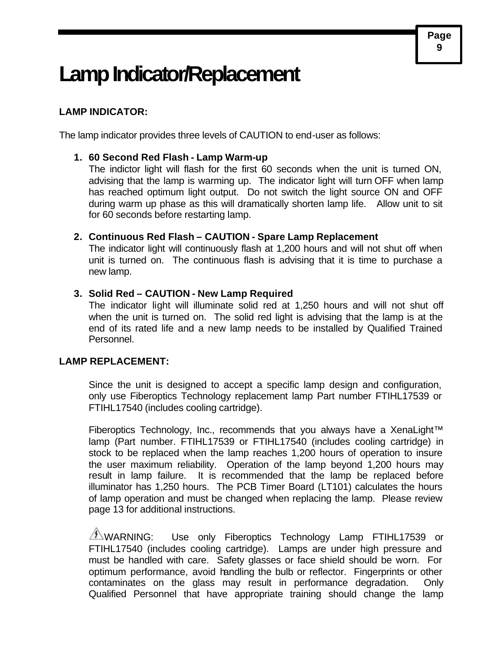### **Lamp Indicator/Replacement**

#### **LAMP INDICATOR:**

The lamp indicator provides three levels of CAUTION to end-user as follows:

#### **1. 60 Second Red Flash - Lamp Warm-up**

The indictor light will flash for the first 60 seconds when the unit is turned ON, advising that the lamp is warming up. The indicator light will turn OFF when lamp has reached optimum light output. Do not switch the light source ON and OFF during warm up phase as this will dramatically shorten lamp life. Allow unit to sit for 60 seconds before restarting lamp.

#### **2. Continuous Red Flash – CAUTION - Spare Lamp Replacement**

The indicator light will continuously flash at 1,200 hours and will not shut off when unit is turned on. The continuous flash is advising that it is time to purchase a new lamp.

#### **3. Solid Red – CAUTION - New Lamp Required**

The indicator light will illuminate solid red at 1,250 hours and will not shut off when the unit is turned on. The solid red light is advising that the lamp is at the end of its rated life and a new lamp needs to be installed by Qualified Trained Personnel.

#### **LAMP REPLACEMENT:**

Since the unit is designed to accept a specific lamp design and configuration, only use Fiberoptics Technology replacement lamp Part number FTIHL17539 or FTIHL17540 (includes cooling cartridge).

Fiberoptics Technology, Inc., recommends that you always have a XenaLight™ lamp (Part number. FTIHL17539 or FTIHL17540 (includes cooling cartridge) in stock to be replaced when the lamp reaches 1,200 hours of operation to insure the user maximum reliability. Operation of the lamp beyond 1,200 hours may result in lamp failure. It is recommended that the lamp be replaced before illuminator has 1,250 hours. The PCB Timer Board (LT101) calculates the hours of lamp operation and must be changed when replacing the lamp. Please review page 13 for additional instructions.

 $\sqrt{2}$  WARNING: Use only Fiberoptics Technology Lamp FTIHL17539 or FTIHL17540 (includes cooling cartridge). Lamps are under high pressure and must be handled with care. Safety glasses or face shield should be worn. For optimum performance, avoid handling the bulb or reflector. Fingerprints or other contaminates on the glass may result in performance degradation. Only Qualified Personnel that have appropriate training should change the lamp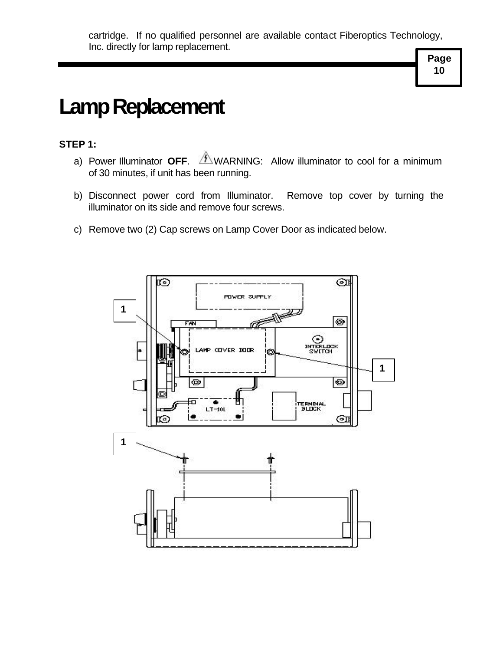# **Lamp Replacement**

#### **STEP 1:**

- a) Power Illuminator **OFF**.  $\overbrace{\phantom{a}}^{\text{A}}$ WARNING: Allow illuminator to cool for a minimum of 30 minutes, if unit has been running.
- b) Disconnect power cord from Illuminator. Remove top cover by turning the illuminator on its side and remove four screws.
- c) Remove two (2) Cap screws on Lamp Cover Door as indicated below.

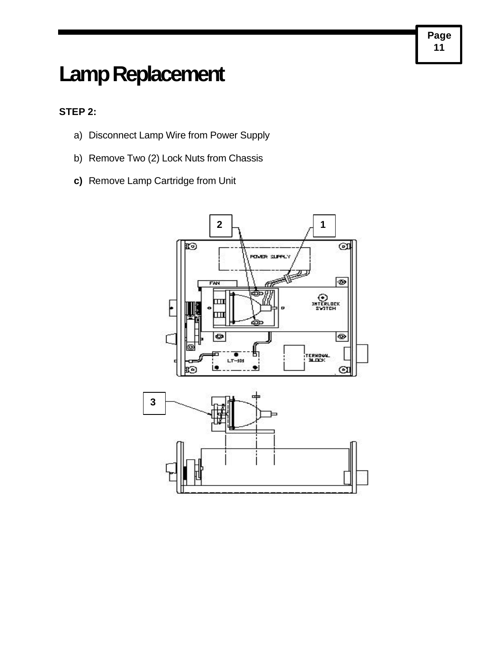## **Lamp Replacement**

#### **STEP 2:**

- a) Disconnect Lamp Wire from Power Supply
- b) Remove Two (2) Lock Nuts from Chassis
- **c)** Remove Lamp Cartridge from Unit

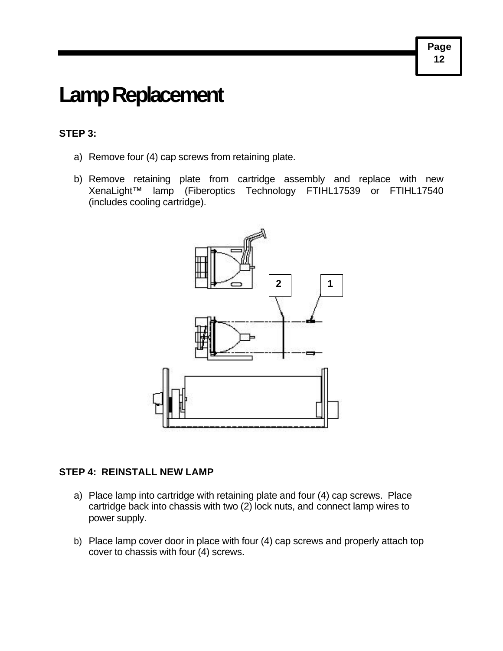## **Lamp Replacement**

#### **STEP 3:**

- a) Remove four (4) cap screws from retaining plate.
- b) Remove retaining plate from cartridge assembly and replace with new XenaLight™ lamp (Fiberoptics Technology FTIHL17539 or FTIHL17540 (includes cooling cartridge).



#### **STEP 4: REINSTALL NEW LAMP**

- a) Place lamp into cartridge with retaining plate and four (4) cap screws. Place cartridge back into chassis with two (2) lock nuts, and connect lamp wires to power supply.
- b) Place lamp cover door in place with four (4) cap screws and properly attach top cover to chassis with four (4) screws.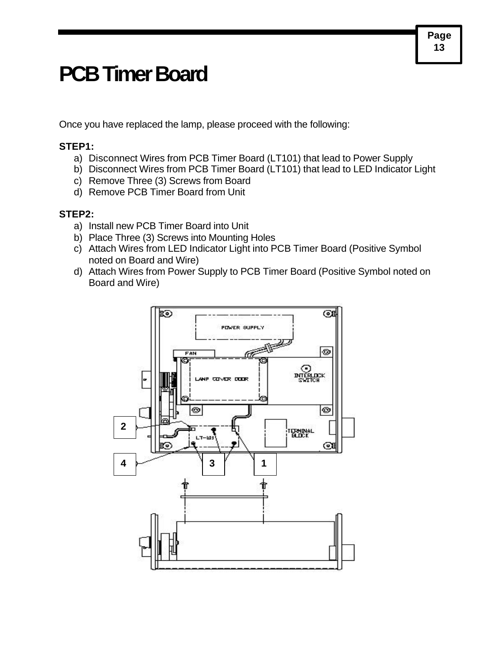### **PCB Timer Board**

Once you have replaced the lamp, please proceed with the following:

#### **STEP1:**

- a) Disconnect Wires from PCB Timer Board (LT101) that lead to Power Supply
- b) Disconnect Wires from PCB Timer Board (LT101) that lead to LED Indicator Light
- c) Remove Three (3) Screws from Board
- d) Remove PCB Timer Board from Unit

#### **STEP2:**

- a) Install new PCB Timer Board into Unit
- b) Place Three (3) Screws into Mounting Holes
- c) Attach Wires from LED Indicator Light into PCB Timer Board (Positive Symbol noted on Board and Wire)
- d) Attach Wires from Power Supply to PCB Timer Board (Positive Symbol noted on Board and Wire)

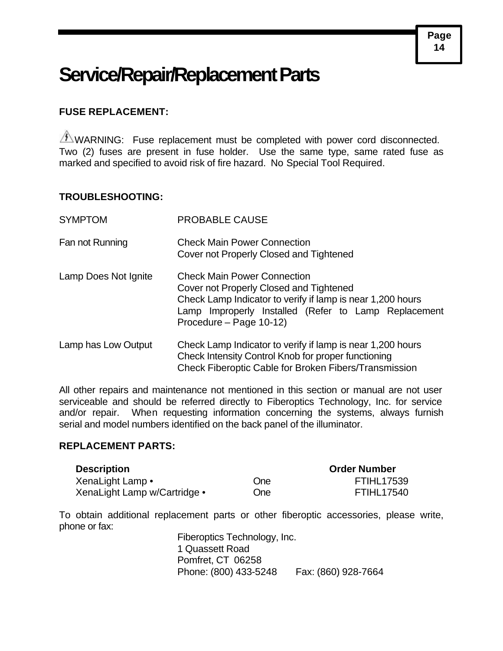### **Service/Repair/Replacement Parts**

#### **FUSE REPLACEMENT:**

 $\sqrt{f}$  WARNING: Fuse replacement must be completed with power cord disconnected. Two (2) fuses are present in fuse holder. Use the same type, same rated fuse as marked and specified to avoid risk of fire hazard. No Special Tool Required.

#### **TROUBLESHOOTING:**

| <b>SYMPTOM</b>       | <b>PROBABLE CAUSE</b>                                                                                                                                                                                                          |  |
|----------------------|--------------------------------------------------------------------------------------------------------------------------------------------------------------------------------------------------------------------------------|--|
| Fan not Running      | <b>Check Main Power Connection</b><br>Cover not Properly Closed and Tightened                                                                                                                                                  |  |
| Lamp Does Not Ignite | <b>Check Main Power Connection</b><br>Cover not Properly Closed and Tightened<br>Check Lamp Indicator to verify if lamp is near 1,200 hours<br>Lamp Improperly Installed (Refer to Lamp Replacement<br>Procedure – Page 10-12) |  |
| Lamp has Low Output  | Check Lamp Indicator to verify if lamp is near 1,200 hours<br>Check Intensity Control Knob for proper functioning<br>Check Fiberoptic Cable for Broken Fibers/Transmission                                                     |  |

All other repairs and maintenance not mentioned in this section or manual are not user serviceable and should be referred directly to Fiberoptics Technology, Inc. for service and/or repair. When requesting information concerning the systems, always furnish serial and model numbers identified on the back panel of the illuminator.

#### **REPLACEMENT PARTS:**

| <b>Description</b>           |            | <b>Order Number</b> |
|------------------------------|------------|---------------------|
| XenaLight Lamp •             | <b>One</b> | <b>FTIHL17539</b>   |
| XenaLight Lamp w/Cartridge • | <b>One</b> | <b>FTIHL17540</b>   |

To obtain additional replacement parts or other fiberoptic accessories, please write, phone or fax:

> Fiberoptics Technology, Inc. 1 Quassett Road Pomfret, CT 06258 Phone: (800) 433-5248 Fax: (860) 928-7664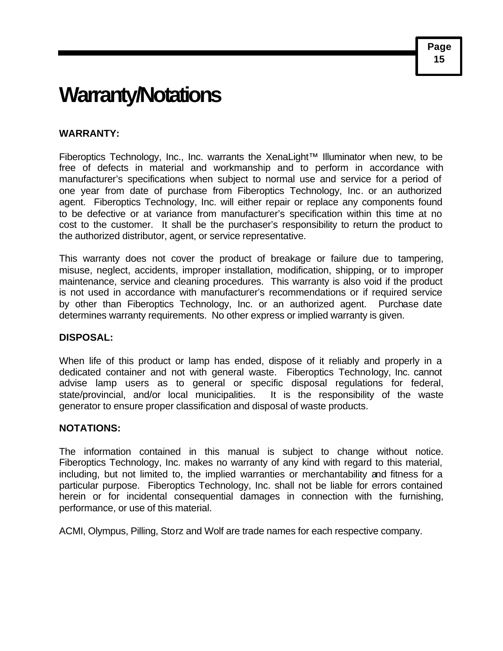### **Warranty/Notations**

#### **WARRANTY:**

Fiberoptics Technology, Inc., Inc. warrants the XenaLight™ Illuminator when new, to be free of defects in material and workmanship and to perform in accordance with manufacturer's specifications when subject to normal use and service for a period of one year from date of purchase from Fiberoptics Technology, Inc. or an authorized agent. Fiberoptics Technology, Inc. will either repair or replace any components found to be defective or at variance from manufacturer's specification within this time at no cost to the customer. It shall be the purchaser's responsibility to return the product to the authorized distributor, agent, or service representative.

This warranty does not cover the product of breakage or failure due to tampering, misuse, neglect, accidents, improper installation, modification, shipping, or to improper maintenance, service and cleaning procedures. This warranty is also void if the product is not used in accordance with manufacturer's recommendations or if required service by other than Fiberoptics Technology, Inc. or an authorized agent. Purchase date determines warranty requirements. No other express or implied warranty is given.

#### **DISPOSAL:**

When life of this product or lamp has ended, dispose of it reliably and properly in a dedicated container and not with general waste. Fiberoptics Technology, Inc. cannot advise lamp users as to general or specific disposal regulations for federal, state/provincial, and/or local municipalities. It is the responsibility of the waste generator to ensure proper classification and disposal of waste products.

#### **NOTATIONS:**

The information contained in this manual is subject to change without notice. Fiberoptics Technology, Inc. makes no warranty of any kind with regard to this material, including, but not limited to, the implied warranties or merchantability and fitness for a particular purpose. Fiberoptics Technology, Inc. shall not be liable for errors contained herein or for incidental consequential damages in connection with the furnishing, performance, or use of this material.

ACMI, Olympus, Pilling, Storz and Wolf are trade names for each respective company.